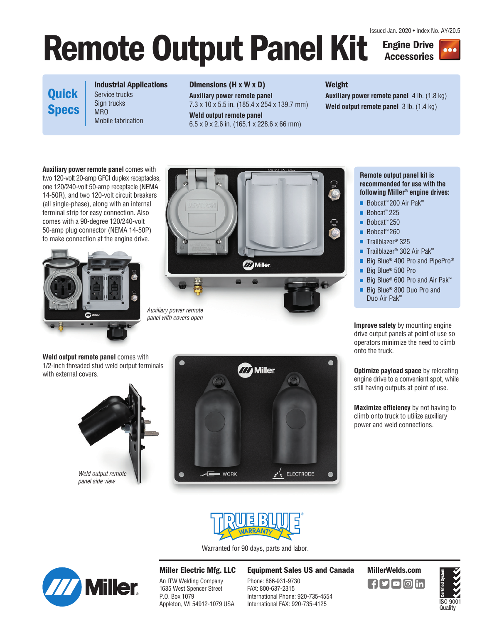Issued Jan. 2020 • Index No. AY/20.5

# Remote Output Panel Kit **Engine Drive**

**Accessories**



## **Quick Specs**

**Industrial Applications**  Service trucks Sign trucks

Mobile fabrication

#### **Dimensions (H x W x D)**

**Auxiliary power remote panel** 7.3 x 10 x 5.5 in. (185.4 x 254 x 139.7 mm)

**Weld output remote panel** 6.5 x 9 x 2.6 in. (165.1 x 228.6 x 66 mm)

## **Weight**

**Auxiliary power remote panel** 4 lb. (1.8 kg) **Weld output remote panel** 3 lb. (1.4 kg)

**Auxiliary power remote panel** comes with two 120-volt 20-amp GFCI duplex receptacles, one 120/240-volt 50-amp receptacle (NEMA 14-50R), and two 120-volt circuit breakers (all single-phase), along with an internal terminal strip for easy connection. Also comes with a 90-degree 120/240-volt 50-amp plug connector (NEMA 14-50P) to make connection at the engine drive.

**MRO** 





**Remote output panel kit is recommended for use with the following Miller® engine drives:** 

- Bobcat<sup>™</sup> 200 Air Pak™
- Bobcat<sup>™</sup> 225
- Bobcat<sup>™</sup> 250
- Bobcat<sup>™</sup> 260
- Trailblazer<sup>®</sup> 325
- Trailblazer**®** 302 Air Pak™
- Big Blue<sup>®</sup> 400 Pro and PipePro<sup>®</sup>
- Big Blue<sup>®</sup> 500 Pro
- Big Blue<sup>®</sup> 600 Pro and Air Pak<sup>™</sup>
- Big Blue<sup>®</sup> 800 Duo Pro and Duo Air Pak™

**Improve safety** by mounting engine drive output panels at point of use so operators minimize the need to climb onto the truck.

**Optimize payload space** by relocating engine drive to a convenient spot, while still having outputs at point of use.

**Maximize efficiency** by not having to climb onto truck to utilize auxiliary power and weld connections.

**Weld output remote panel** comes with 1/2-inch threaded stud weld output terminals with external covers.







Warranted for 90 days, parts and labor.



### **Miller Electric Mfg. LLC**

An ITW Welding Company 1635 West Spencer Street P.O. Box 1079 Appleton, WI 54912-1079 USA

#### **Equipment Sales US and Canada MillerWelds.com**

Phone: 866-931-9730 FAX: 800-637-2315 International Phone: 920-735-4554 International FAX: 920-735-4125